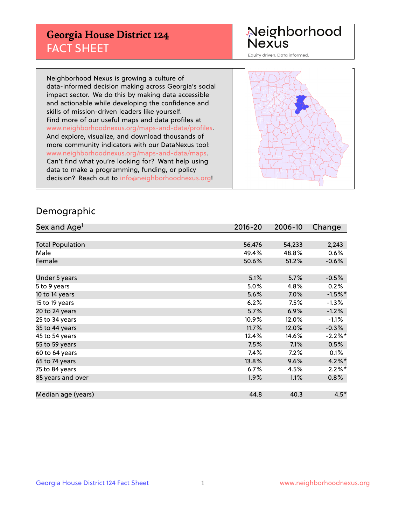## **Georgia House District 124** FACT SHEET

# Neighborhood<br>Nexus

Equity driven. Data informed.

Neighborhood Nexus is growing a culture of data-informed decision making across Georgia's social impact sector. We do this by making data accessible and actionable while developing the confidence and skills of mission-driven leaders like yourself. Find more of our useful maps and data profiles at www.neighborhoodnexus.org/maps-and-data/profiles. And explore, visualize, and download thousands of more community indicators with our DataNexus tool: www.neighborhoodnexus.org/maps-and-data/maps. Can't find what you're looking for? Want help using data to make a programming, funding, or policy decision? Reach out to [info@neighborhoodnexus.org!](mailto:info@neighborhoodnexus.org)



### Demographic

| Sex and Age <sup>1</sup> | $2016 - 20$ | 2006-10 | Change    |
|--------------------------|-------------|---------|-----------|
|                          |             |         |           |
| <b>Total Population</b>  | 56,476      | 54,233  | 2,243     |
| Male                     | 49.4%       | 48.8%   | 0.6%      |
| Female                   | 50.6%       | 51.2%   | $-0.6%$   |
|                          |             |         |           |
| Under 5 years            | 5.1%        | 5.7%    | $-0.5%$   |
| 5 to 9 years             | 5.0%        | 4.8%    | 0.2%      |
| 10 to 14 years           | 5.6%        | 7.0%    | $-1.5%$ * |
| 15 to 19 years           | 6.2%        | 7.5%    | $-1.3%$   |
| 20 to 24 years           | 5.7%        | 6.9%    | $-1.2%$   |
| 25 to 34 years           | 10.9%       | 12.0%   | $-1.1%$   |
| 35 to 44 years           | 11.7%       | 12.0%   | $-0.3%$   |
| 45 to 54 years           | 12.4%       | 14.6%   | $-2.2%$ * |
| 55 to 59 years           | 7.5%        | 7.1%    | 0.5%      |
| 60 to 64 years           | 7.4%        | 7.2%    | 0.1%      |
| 65 to 74 years           | 13.8%       | 9.6%    | $4.2\%$ * |
| 75 to 84 years           | 6.7%        | 4.5%    | $2.2\%$ * |
| 85 years and over        | 1.9%        | 1.1%    | 0.8%      |
|                          |             |         |           |
| Median age (years)       | 44.8        | 40.3    | $4.5*$    |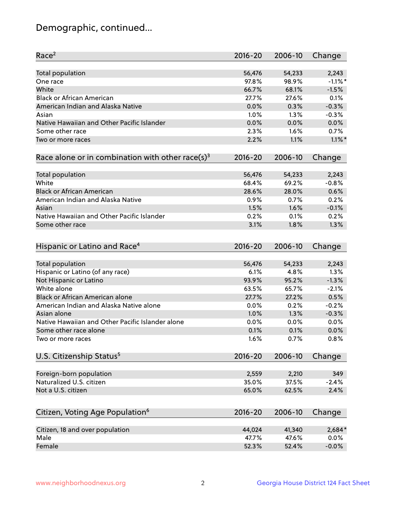## Demographic, continued...

| Race <sup>2</sup>                                            | $2016 - 20$ | 2006-10 | Change     |
|--------------------------------------------------------------|-------------|---------|------------|
| Total population                                             | 56,476      | 54,233  | 2,243      |
| One race                                                     | 97.8%       | 98.9%   | $-1.1\%$ * |
| White                                                        | 66.7%       | 68.1%   | $-1.5%$    |
| <b>Black or African American</b>                             | 27.7%       | 27.6%   | 0.1%       |
| American Indian and Alaska Native                            | 0.0%        | 0.3%    | $-0.3%$    |
| Asian                                                        | 1.0%        | 1.3%    | $-0.3%$    |
| Native Hawaiian and Other Pacific Islander                   | 0.0%        | 0.0%    | 0.0%       |
| Some other race                                              | 2.3%        | 1.6%    | 0.7%       |
| Two or more races                                            | 2.2%        | 1.1%    | $1.1\%$ *  |
| Race alone or in combination with other race(s) <sup>3</sup> | $2016 - 20$ | 2006-10 | Change     |
| <b>Total population</b>                                      | 56,476      | 54,233  | 2,243      |
| White                                                        | 68.4%       | 69.2%   | $-0.8%$    |
| <b>Black or African American</b>                             | 28.6%       | 28.0%   | 0.6%       |
| American Indian and Alaska Native                            | 0.9%        | 0.7%    | 0.2%       |
| Asian                                                        | 1.5%        | 1.6%    | $-0.1%$    |
| Native Hawaiian and Other Pacific Islander                   | 0.2%        | 0.1%    | 0.2%       |
| Some other race                                              | 3.1%        | 1.8%    | 1.3%       |
| Hispanic or Latino and Race <sup>4</sup>                     | $2016 - 20$ | 2006-10 | Change     |
| <b>Total population</b>                                      | 56,476      | 54,233  | 2,243      |
| Hispanic or Latino (of any race)                             | 6.1%        | 4.8%    | 1.3%       |
| Not Hispanic or Latino                                       | 93.9%       | 95.2%   | $-1.3%$    |
| White alone                                                  | 63.5%       | 65.7%   | $-2.1%$    |
| <b>Black or African American alone</b>                       | 27.7%       | 27.2%   | 0.5%       |
| American Indian and Alaska Native alone                      | 0.0%        | 0.2%    | $-0.2%$    |
| Asian alone                                                  | 1.0%        | 1.3%    | $-0.3%$    |
| Native Hawaiian and Other Pacific Islander alone             | 0.0%        | 0.0%    | 0.0%       |
| Some other race alone                                        | 0.1%        | 0.1%    | 0.0%       |
| Two or more races                                            | 1.6%        | 0.7%    | 0.8%       |
| U.S. Citizenship Status <sup>5</sup>                         | $2016 - 20$ | 2006-10 | Change     |
|                                                              |             |         |            |
| Foreign-born population                                      | 2,559       | 2,210   | 349        |
| Naturalized U.S. citizen                                     | 35.0%       | 37.5%   | $-2.4%$    |
| Not a U.S. citizen                                           | 65.0%       | 62.5%   | 2.4%       |
|                                                              |             |         |            |
| Citizen, Voting Age Population <sup>6</sup>                  | $2016 - 20$ | 2006-10 | Change     |
| Citizen, 18 and over population                              | 44,024      | 41,340  | 2,684*     |
| Male                                                         | 47.7%       | 47.6%   | 0.0%       |
| Female                                                       | 52.3%       | 52.4%   | $-0.0%$    |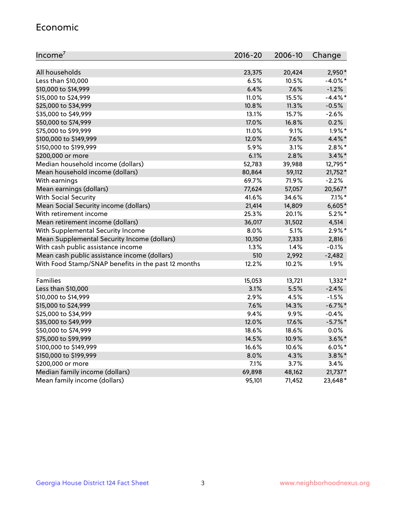#### Economic

| Income <sup>7</sup>                                 | $2016 - 20$ | 2006-10 | Change     |
|-----------------------------------------------------|-------------|---------|------------|
|                                                     |             |         |            |
| All households                                      | 23,375      | 20,424  | 2,950*     |
| Less than \$10,000                                  | 6.5%        | 10.5%   | $-4.0\%$ * |
| \$10,000 to \$14,999                                | 6.4%        | 7.6%    | $-1.2%$    |
| \$15,000 to \$24,999                                | 11.0%       | 15.5%   | $-4.4\%$ * |
| \$25,000 to \$34,999                                | 10.8%       | 11.3%   | $-0.5%$    |
| \$35,000 to \$49,999                                | 13.1%       | 15.7%   | $-2.6%$    |
| \$50,000 to \$74,999                                | 17.0%       | 16.8%   | 0.2%       |
| \$75,000 to \$99,999                                | 11.0%       | 9.1%    | $1.9\%$ *  |
| \$100,000 to \$149,999                              | 12.0%       | 7.6%    | 4.4%*      |
| \$150,000 to \$199,999                              | 5.9%        | 3.1%    | $2.8\%$ *  |
| \$200,000 or more                                   | 6.1%        | 2.8%    | $3.4\%$ *  |
| Median household income (dollars)                   | 52,783      | 39,988  | 12,795*    |
| Mean household income (dollars)                     | 80,864      | 59,112  | 21,752*    |
| With earnings                                       | 69.7%       | 71.9%   | $-2.2%$    |
| Mean earnings (dollars)                             | 77,624      | 57,057  | 20,567*    |
| <b>With Social Security</b>                         | 41.6%       | 34.6%   | $7.1\%$ *  |
| Mean Social Security income (dollars)               | 21,414      | 14,809  | $6,605*$   |
| With retirement income                              | 25.3%       | 20.1%   | $5.2\%$ *  |
| Mean retirement income (dollars)                    | 36,017      | 31,502  | 4,514      |
| With Supplemental Security Income                   | 8.0%        | 5.1%    | $2.9\%*$   |
| Mean Supplemental Security Income (dollars)         | 10,150      | 7,333   | 2,816      |
| With cash public assistance income                  | 1.3%        | 1.4%    | $-0.1%$    |
| Mean cash public assistance income (dollars)        | 510         | 2,992   | $-2,482$   |
| With Food Stamp/SNAP benefits in the past 12 months | 12.2%       | 10.2%   | 1.9%       |
|                                                     |             |         |            |
| Families                                            | 15,053      | 13,721  | $1,332*$   |
| Less than \$10,000                                  | 3.1%        | 5.5%    | $-2.4%$    |
| \$10,000 to \$14,999                                | 2.9%        | 4.5%    | $-1.5%$    |
| \$15,000 to \$24,999                                | 7.6%        | 14.3%   | $-6.7\%$ * |
| \$25,000 to \$34,999                                | 9.4%        | 9.9%    | $-0.4%$    |
| \$35,000 to \$49,999                                | 12.0%       | 17.6%   | $-5.7\%$ * |
| \$50,000 to \$74,999                                | 18.6%       | 18.6%   | 0.0%       |
| \$75,000 to \$99,999                                | 14.5%       | 10.9%   | $3.6\%$ *  |
| \$100,000 to \$149,999                              | 16.6%       | 10.6%   | $6.0\%$ *  |
| \$150,000 to \$199,999                              | 8.0%        | 4.3%    | $3.8\%$ *  |
| \$200,000 or more                                   | 7.1%        | 3.7%    | 3.4%       |
| Median family income (dollars)                      | 69,898      | 48,162  | $21,737*$  |
| Mean family income (dollars)                        | 95,101      | 71,452  | 23,648*    |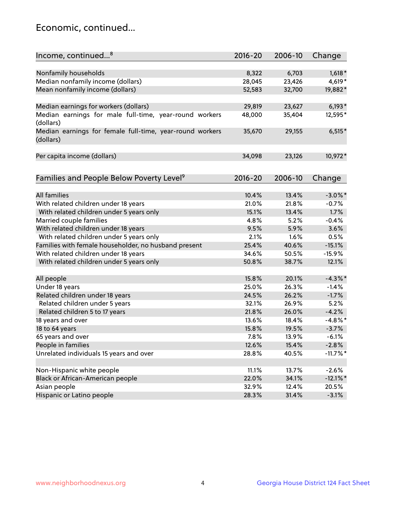## Economic, continued...

| Income, continued <sup>8</sup>                                        | $2016 - 20$ | 2006-10 | Change      |
|-----------------------------------------------------------------------|-------------|---------|-------------|
|                                                                       |             |         |             |
| Nonfamily households                                                  | 8,322       | 6,703   | $1,618*$    |
| Median nonfamily income (dollars)                                     | 28,045      | 23,426  | 4,619*      |
| Mean nonfamily income (dollars)                                       | 52,583      | 32,700  | 19,882*     |
| Median earnings for workers (dollars)                                 | 29,819      | 23,627  | $6,193*$    |
| Median earnings for male full-time, year-round workers<br>(dollars)   | 48,000      | 35,404  | 12,595*     |
| Median earnings for female full-time, year-round workers<br>(dollars) | 35,670      | 29,155  | $6,515*$    |
| Per capita income (dollars)                                           | 34,098      | 23,126  | 10,972*     |
| Families and People Below Poverty Level <sup>9</sup>                  | $2016 - 20$ | 2006-10 | Change      |
|                                                                       |             |         |             |
| <b>All families</b>                                                   | 10.4%       | 13.4%   | $-3.0\%$ *  |
| With related children under 18 years                                  | 21.0%       | 21.8%   | $-0.7%$     |
| With related children under 5 years only                              | 15.1%       | 13.4%   | 1.7%        |
| Married couple families                                               | 4.8%        | 5.2%    | $-0.4%$     |
| With related children under 18 years                                  | 9.5%        | 5.9%    | 3.6%        |
| With related children under 5 years only                              | 2.1%        | 1.6%    | 0.5%        |
| Families with female householder, no husband present                  | 25.4%       | 40.6%   | $-15.1%$    |
| With related children under 18 years                                  | 34.6%       | 50.5%   | $-15.9%$    |
| With related children under 5 years only                              | 50.8%       | 38.7%   | 12.1%       |
| All people                                                            | 15.8%       | 20.1%   | $-4.3\%$ *  |
| Under 18 years                                                        | 25.0%       | 26.3%   | $-1.4%$     |
| Related children under 18 years                                       | 24.5%       | 26.2%   | $-1.7%$     |
| Related children under 5 years                                        | 32.1%       | 26.9%   | 5.2%        |
| Related children 5 to 17 years                                        | 21.8%       | 26.0%   | $-4.2%$     |
| 18 years and over                                                     | 13.6%       | 18.4%   | $-4.8\%$ *  |
| 18 to 64 years                                                        | 15.8%       | 19.5%   | $-3.7%$     |
| 65 years and over                                                     | 7.8%        | 13.9%   | $-6.1%$     |
| People in families                                                    | 12.6%       | 15.4%   | $-2.8%$     |
| Unrelated individuals 15 years and over                               | 28.8%       | 40.5%   | $-11.7\%$ * |
|                                                                       |             |         |             |
| Non-Hispanic white people                                             | 11.1%       | 13.7%   | $-2.6%$     |
| Black or African-American people                                      | 22.0%       | 34.1%   | $-12.1\%$ * |
| Asian people                                                          | 32.9%       | 12.4%   | 20.5%       |
| Hispanic or Latino people                                             | 28.3%       | 31.4%   | $-3.1%$     |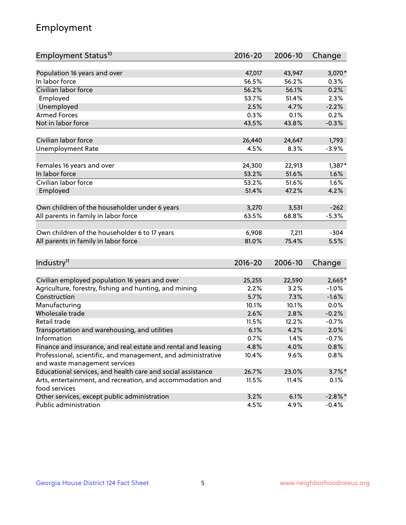## Employment

| Employment Status <sup>10</sup>                               | $2016 - 20$ | 2006-10 | Change     |
|---------------------------------------------------------------|-------------|---------|------------|
|                                                               | 47,017      | 43,947  |            |
| Population 16 years and over<br>In labor force                |             |         | 3,070*     |
| Civilian labor force                                          | 56.5%       | 56.2%   | $0.3\%$    |
|                                                               | 56.2%       | 56.1%   | 0.2%       |
| Employed                                                      | 53.7%       | 51.4%   | 2.3%       |
| Unemployed                                                    | 2.5%        | 4.7%    | $-2.2%$    |
| <b>Armed Forces</b>                                           | 0.3%        | 0.1%    | 0.2%       |
| Not in labor force                                            | 43.5%       | 43.8%   | $-0.3%$    |
| Civilian labor force                                          | 26,440      | 24,647  | 1,793      |
| <b>Unemployment Rate</b>                                      | 4.5%        | 8.3%    | $-3.9%$    |
|                                                               |             |         |            |
| Females 16 years and over                                     | 24,300      | 22,913  | $1,387*$   |
| In labor force                                                | 53.2%       | 51.6%   | 1.6%       |
| Civilian labor force                                          | 53.2%       | 51.6%   | 1.6%       |
| Employed                                                      | 51.4%       | 47.2%   | 4.2%       |
|                                                               |             |         |            |
| Own children of the householder under 6 years                 | 3,270       | 3,531   | $-262$     |
| All parents in family in labor force                          | 63.5%       | 68.8%   | $-5.3%$    |
|                                                               |             |         |            |
| Own children of the householder 6 to 17 years                 | 6,908       | 7,211   | $-304$     |
| All parents in family in labor force                          | 81.0%       | 75.4%   | 5.5%       |
|                                                               |             |         |            |
| Industry <sup>11</sup>                                        | $2016 - 20$ | 2006-10 | Change     |
|                                                               |             |         |            |
| Civilian employed population 16 years and over                | 25,255      | 22,590  | 2,665*     |
| Agriculture, forestry, fishing and hunting, and mining        | 2.2%        | 3.2%    | $-1.0%$    |
| Construction                                                  | 5.7%        | 7.3%    | $-1.6%$    |
| Manufacturing                                                 | 10.1%       | 10.1%   | 0.0%       |
| Wholesale trade                                               | 2.6%        | 2.8%    | $-0.2%$    |
| Retail trade                                                  | 11.5%       | 12.2%   | $-0.7%$    |
| Transportation and warehousing, and utilities                 | 6.1%        | 4.2%    | 2.0%       |
| Information                                                   | 0.7%        | 1.4%    | $-0.7%$    |
| Finance and insurance, and real estate and rental and leasing | 4.8%        | 4.0%    | 0.8%       |
| Professional, scientific, and management, and administrative  | 10.4%       | 9.6%    | 0.8%       |
| and waste management services                                 |             |         |            |
| Educational services, and health care and social assistance   | 26.7%       | 23.0%   | $3.7\%$ *  |
| Arts, entertainment, and recreation, and accommodation and    | 11.5%       | 11.4%   | 0.1%       |
| food services                                                 |             |         |            |
| Other services, except public administration                  | 3.2%        | 6.1%    | $-2.8\%$ * |
| Public administration                                         | 4.5%        | 4.9%    | $-0.4%$    |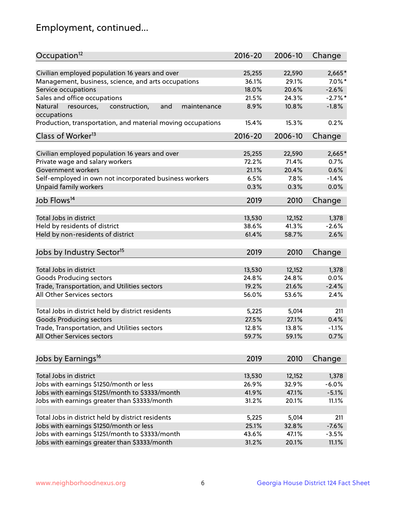## Employment, continued...

| Occupation <sup>12</sup>                                     | $2016 - 20$ | 2006-10 | Change     |
|--------------------------------------------------------------|-------------|---------|------------|
| Civilian employed population 16 years and over               | 25,255      | 22,590  | $2,665*$   |
| Management, business, science, and arts occupations          | 36.1%       | 29.1%   | $7.0\%$ *  |
| Service occupations                                          | 18.0%       | 20.6%   | $-2.6%$    |
| Sales and office occupations                                 | 21.5%       | 24.3%   | $-2.7\%$ * |
| Natural<br>and<br>resources,<br>construction,<br>maintenance | 8.9%        | 10.8%   | $-1.8%$    |
| occupations                                                  |             |         |            |
| Production, transportation, and material moving occupations  | 15.4%       | 15.3%   | 0.2%       |
| Class of Worker <sup>13</sup>                                | $2016 - 20$ | 2006-10 | Change     |
|                                                              |             |         |            |
| Civilian employed population 16 years and over               | 25,255      | 22,590  | 2,665*     |
| Private wage and salary workers                              | 72.2%       | 71.4%   | 0.7%       |
| Government workers                                           | 21.1%       | 20.4%   | 0.6%       |
| Self-employed in own not incorporated business workers       | 6.5%        | 7.8%    | $-1.4%$    |
| Unpaid family workers                                        | 0.3%        | 0.3%    | 0.0%       |
| Job Flows <sup>14</sup>                                      | 2019        | 2010    | Change     |
|                                                              |             |         |            |
| Total Jobs in district                                       | 13,530      | 12,152  | 1,378      |
| Held by residents of district                                | 38.6%       | 41.3%   | $-2.6%$    |
| Held by non-residents of district                            | 61.4%       | 58.7%   | 2.6%       |
| Jobs by Industry Sector <sup>15</sup>                        | 2019        | 2010    | Change     |
|                                                              |             |         |            |
| Total Jobs in district                                       | 13,530      | 12,152  | 1,378      |
| Goods Producing sectors                                      | 24.8%       | 24.8%   | 0.0%       |
| Trade, Transportation, and Utilities sectors                 | 19.2%       | 21.6%   | $-2.4%$    |
| All Other Services sectors                                   | 56.0%       | 53.6%   | 2.4%       |
|                                                              |             |         |            |
| Total Jobs in district held by district residents            | 5,225       | 5,014   | 211        |
| <b>Goods Producing sectors</b>                               | 27.5%       | 27.1%   | 0.4%       |
| Trade, Transportation, and Utilities sectors                 | 12.8%       | 13.8%   | $-1.1%$    |
| All Other Services sectors                                   | 59.7%       | 59.1%   | 0.7%       |
| Jobs by Earnings <sup>16</sup>                               | 2019        | 2010    | Change     |
|                                                              |             |         |            |
| Total Jobs in district                                       | 13,530      | 12,152  | 1,378      |
| Jobs with earnings \$1250/month or less                      | 26.9%       | 32.9%   | $-6.0%$    |
| Jobs with earnings \$1251/month to \$3333/month              | 41.9%       | 47.1%   | $-5.1%$    |
| Jobs with earnings greater than \$3333/month                 | 31.2%       | 20.1%   | 11.1%      |
|                                                              |             |         |            |
| Total Jobs in district held by district residents            | 5,225       | 5,014   | 211        |
| Jobs with earnings \$1250/month or less                      | 25.1%       | 32.8%   | $-7.6%$    |
| Jobs with earnings \$1251/month to \$3333/month              | 43.6%       | 47.1%   | $-3.5%$    |
| Jobs with earnings greater than \$3333/month                 | 31.2%       | 20.1%   | 11.1%      |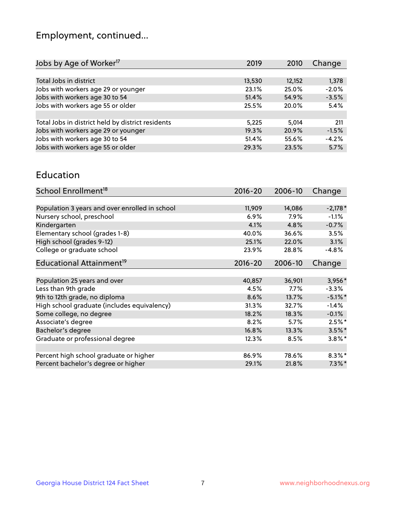## Employment, continued...

| Jobs by Age of Worker <sup>17</sup>               | 2019   | 2010   | Change  |
|---------------------------------------------------|--------|--------|---------|
|                                                   |        |        |         |
| Total Jobs in district                            | 13,530 | 12,152 | 1,378   |
| Jobs with workers age 29 or younger               | 23.1%  | 25.0%  | $-2.0%$ |
| Jobs with workers age 30 to 54                    | 51.4%  | 54.9%  | $-3.5%$ |
| Jobs with workers age 55 or older                 | 25.5%  | 20.0%  | 5.4%    |
|                                                   |        |        |         |
| Total Jobs in district held by district residents | 5,225  | 5.014  | 211     |
| Jobs with workers age 29 or younger               | 19.3%  | 20.9%  | $-1.5%$ |
| Jobs with workers age 30 to 54                    | 51.4%  | 55.6%  | $-4.2%$ |
| Jobs with workers age 55 or older                 | 29.3%  | 23.5%  | 5.7%    |

#### Education

| School Enrollment <sup>18</sup>                | $2016 - 20$ | 2006-10 | Change     |
|------------------------------------------------|-------------|---------|------------|
|                                                |             |         |            |
| Population 3 years and over enrolled in school | 11,909      | 14,086  | $-2,178*$  |
| Nursery school, preschool                      | 6.9%        | $7.9\%$ | $-1.1%$    |
| Kindergarten                                   | 4.1%        | 4.8%    | $-0.7%$    |
| Elementary school (grades 1-8)                 | 40.0%       | 36.6%   | 3.5%       |
| High school (grades 9-12)                      | 25.1%       | 22.0%   | 3.1%       |
| College or graduate school                     | 23.9%       | 28.8%   | $-4.8%$    |
| Educational Attainment <sup>19</sup>           | $2016 - 20$ | 2006-10 | Change     |
|                                                |             |         |            |
| Population 25 years and over                   | 40,857      | 36,901  | 3,956*     |
| Less than 9th grade                            | 4.5%        | $7.7\%$ | $-3.3%$    |
| 9th to 12th grade, no diploma                  | 8.6%        | 13.7%   | $-5.1\%$ * |
| High school graduate (includes equivalency)    | 31.3%       | 32.7%   | $-1.4%$    |
| Some college, no degree                        | 18.2%       | 18.3%   | $-0.1%$    |
| Associate's degree                             | 8.2%        | 5.7%    | $2.5%$ *   |
| Bachelor's degree                              | 16.8%       | 13.3%   | $3.5\%$ *  |
| Graduate or professional degree                | 12.3%       | 8.5%    | $3.8\%$ *  |
|                                                |             |         |            |
| Percent high school graduate or higher         | 86.9%       | 78.6%   | $8.3\%$ *  |
| Percent bachelor's degree or higher            | 29.1%       | 21.8%   | $7.3\%$ *  |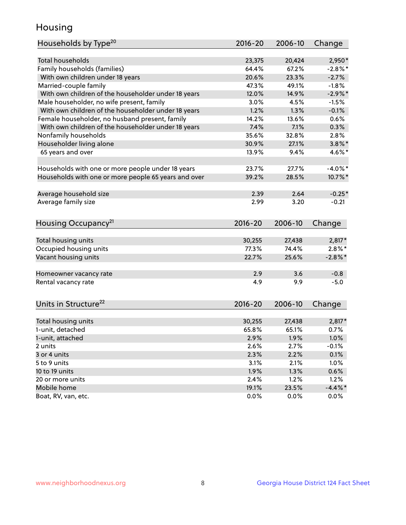## Housing

| Households by Type <sup>20</sup>                     | 2016-20     | 2006-10 | Change     |
|------------------------------------------------------|-------------|---------|------------|
|                                                      |             |         |            |
| <b>Total households</b>                              | 23,375      | 20,424  | $2,950*$   |
| Family households (families)                         | 64.4%       | 67.2%   | $-2.8\%$ * |
| With own children under 18 years                     | 20.6%       | 23.3%   | $-2.7%$    |
| Married-couple family                                | 47.3%       | 49.1%   | $-1.8%$    |
| With own children of the householder under 18 years  | 12.0%       | 14.9%   | $-2.9%$ *  |
| Male householder, no wife present, family            | 3.0%        | 4.5%    | $-1.5%$    |
| With own children of the householder under 18 years  | 1.2%        | 1.3%    | $-0.1%$    |
| Female householder, no husband present, family       | 14.2%       | 13.6%   | 0.6%       |
| With own children of the householder under 18 years  | 7.4%        | 7.1%    | 0.3%       |
| Nonfamily households                                 | 35.6%       | 32.8%   | 2.8%       |
| Householder living alone                             | 30.9%       | 27.1%   | $3.8\%$ *  |
| 65 years and over                                    | 13.9%       | 9.4%    | $4.6\%$ *  |
|                                                      |             |         |            |
| Households with one or more people under 18 years    | 23.7%       | 27.7%   | $-4.0\%$ * |
| Households with one or more people 65 years and over | 39.2%       | 28.5%   | 10.7%*     |
|                                                      |             |         |            |
| Average household size                               | 2.39        | 2.64    | $-0.25*$   |
| Average family size                                  | 2.99        | 3.20    | $-0.21$    |
|                                                      |             |         |            |
| Housing Occupancy <sup>21</sup>                      | $2016 - 20$ | 2006-10 | Change     |
|                                                      |             |         |            |
| Total housing units                                  | 30,255      | 27,438  | 2,817*     |
| Occupied housing units                               | 77.3%       | 74.4%   | $2.8\%$ *  |
| Vacant housing units                                 | 22.7%       | 25.6%   | $-2.8\%$ * |
| Homeowner vacancy rate                               | 2.9         | 3.6     | $-0.8$     |
| Rental vacancy rate                                  | 4.9         | 9.9     | $-5.0$     |
|                                                      |             |         |            |
| Units in Structure <sup>22</sup>                     | 2016-20     | 2006-10 | Change     |
|                                                      |             |         |            |
| Total housing units                                  | 30,255      | 27,438  | $2,817*$   |
| 1-unit, detached                                     | 65.8%       | 65.1%   | 0.7%       |
| 1-unit, attached                                     | 2.9%        | 1.9%    | 1.0%       |
| 2 units                                              | 2.6%        | 2.7%    | $-0.1%$    |
| 3 or 4 units                                         | 2.3%        | 2.2%    | 0.1%       |
| 5 to 9 units                                         | 3.1%        | 2.1%    | 1.0%       |
| 10 to 19 units                                       | 1.9%        | 1.3%    | 0.6%       |
| 20 or more units                                     | 2.4%        | 1.2%    | 1.2%       |
| Mobile home                                          | 19.1%       | 23.5%   | $-4.4\%$ * |
| Boat, RV, van, etc.                                  | 0.0%        | 0.0%    | 0.0%       |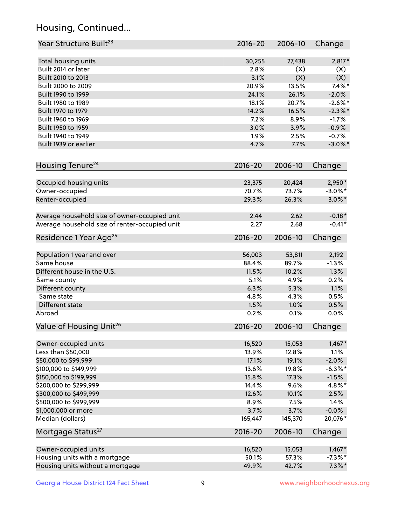## Housing, Continued...

| Year Structure Built <sup>23</sup>             | 2016-20     | 2006-10 | Change     |
|------------------------------------------------|-------------|---------|------------|
| Total housing units                            | 30,255      | 27,438  | 2,817*     |
| Built 2014 or later                            | 2.8%        | (X)     | (X)        |
| Built 2010 to 2013                             | 3.1%        | (X)     | (X)        |
| Built 2000 to 2009                             | 20.9%       | 13.5%   | $7.4\%$ *  |
| Built 1990 to 1999                             | 24.1%       | 26.1%   | $-2.0%$    |
| Built 1980 to 1989                             | 18.1%       | 20.7%   | $-2.6\%$ * |
| Built 1970 to 1979                             | 14.2%       | 16.5%   | $-2.3\%$ * |
| Built 1960 to 1969                             | 7.2%        | 8.9%    | $-1.7%$    |
| Built 1950 to 1959                             | 3.0%        | 3.9%    | $-0.9%$    |
| Built 1940 to 1949                             | 1.9%        | 2.5%    | $-0.7%$    |
| Built 1939 or earlier                          | 4.7%        | 7.7%    | $-3.0\%$ * |
| Housing Tenure <sup>24</sup>                   | $2016 - 20$ | 2006-10 | Change     |
|                                                |             |         |            |
| Occupied housing units                         | 23,375      | 20,424  | 2,950*     |
| Owner-occupied                                 | 70.7%       | 73.7%   | $-3.0\%$ * |
| Renter-occupied                                | 29.3%       | 26.3%   | $3.0\%$ *  |
| Average household size of owner-occupied unit  | 2.44        | 2.62    | $-0.18*$   |
| Average household size of renter-occupied unit | 2.27        | 2.68    | $-0.41*$   |
| Residence 1 Year Ago <sup>25</sup>             | 2016-20     | 2006-10 | Change     |
| Population 1 year and over                     | 56,003      | 53,811  | 2,192      |
| Same house                                     | 88.4%       | 89.7%   | $-1.3%$    |
| Different house in the U.S.                    | 11.5%       | 10.2%   | 1.3%       |
| Same county                                    | 5.1%        | 4.9%    | 0.2%       |
| Different county                               | 6.3%        | 5.3%    | 1.1%       |
| Same state                                     | 4.8%        | 4.3%    | 0.5%       |
| Different state                                | 1.5%        | 1.0%    | 0.5%       |
| Abroad                                         | 0.2%        | 0.1%    | 0.0%       |
| Value of Housing Unit <sup>26</sup>            | $2016 - 20$ | 2006-10 | Change     |
| Owner-occupied units                           | 16,520      | 15,053  | $1,467*$   |
| Less than \$50,000                             | 13.9%       | 12.8%   | 1.1%       |
| \$50,000 to \$99,999                           | 17.1%       | 19.1%   | $-2.0%$    |
| \$100,000 to \$149,999                         | 13.6%       | 19.8%   | $-6.3\%$ * |
| \$150,000 to \$199,999                         | 15.8%       | 17.3%   | $-1.5%$    |
| \$200,000 to \$299,999                         | 14.4%       | 9.6%    | 4.8%*      |
| \$300,000 to \$499,999                         | 12.6%       | 10.1%   | 2.5%       |
| \$500,000 to \$999,999                         | 8.9%        | 7.5%    | 1.4%       |
| \$1,000,000 or more                            | 3.7%        | 3.7%    | $-0.0%$    |
| Median (dollars)                               | 165,447     | 145,370 | 20,076*    |
| Mortgage Status <sup>27</sup>                  | $2016 - 20$ | 2006-10 | Change     |
| Owner-occupied units                           | 16,520      | 15,053  | $1,467*$   |
| Housing units with a mortgage                  | 50.1%       | 57.3%   | $-7.3\%$ * |
| Housing units without a mortgage               | 49.9%       | 42.7%   | $7.3\%$ *  |
|                                                |             |         |            |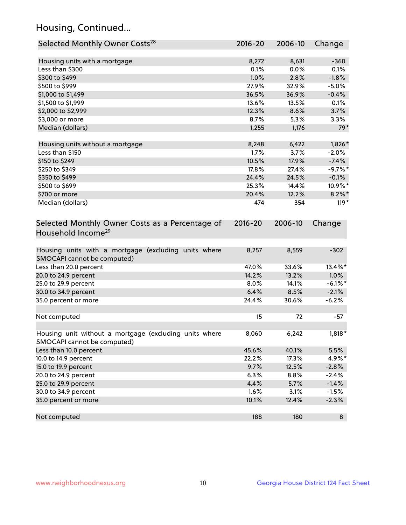## Housing, Continued...

| Selected Monthly Owner Costs <sup>28</sup>                                            | 2016-20       | 2006-10       | Change     |
|---------------------------------------------------------------------------------------|---------------|---------------|------------|
| Housing units with a mortgage                                                         | 8,272         | 8,631         | $-360$     |
| Less than \$300                                                                       | 0.1%          | 0.0%          | 0.1%       |
| \$300 to \$499                                                                        | 1.0%          | 2.8%          | $-1.8%$    |
| \$500 to \$999                                                                        | 27.9%         | 32.9%         | $-5.0%$    |
| \$1,000 to \$1,499                                                                    | 36.5%         | 36.9%         | $-0.4%$    |
| \$1,500 to \$1,999                                                                    | 13.6%         | 13.5%         | 0.1%       |
| \$2,000 to \$2,999                                                                    | 12.3%         | 8.6%          | 3.7%       |
| \$3,000 or more                                                                       | 8.7%          | 5.3%          | 3.3%       |
| Median (dollars)                                                                      | 1,255         | 1,176         | $79*$      |
|                                                                                       |               |               | $1,826*$   |
| Housing units without a mortgage<br>Less than \$150                                   | 8,248<br>1.7% | 6,422<br>3.7% | $-2.0%$    |
| \$150 to \$249                                                                        | 10.5%         | 17.9%         | $-7.4%$    |
| \$250 to \$349                                                                        | 17.8%         | 27.4%         | $-9.7%$ *  |
| \$350 to \$499                                                                        | 24.4%         | 24.5%         | $-0.1%$    |
| \$500 to \$699                                                                        | 25.3%         | 14.4%         | 10.9%*     |
| \$700 or more                                                                         | 20.4%         | 12.2%         | $8.2\%$ *  |
| Median (dollars)                                                                      | 474           | 354           | $119*$     |
| Household Income <sup>29</sup>                                                        |               |               |            |
| Housing units with a mortgage (excluding units where                                  | 8,257         | 8,559         | $-302$     |
| SMOCAPI cannot be computed)<br>Less than 20.0 percent                                 | 47.0%         | 33.6%         | 13.4%*     |
| 20.0 to 24.9 percent                                                                  | 14.2%         | 13.2%         | 1.0%       |
| 25.0 to 29.9 percent                                                                  | 8.0%          | 14.1%         | $-6.1\%$ * |
| 30.0 to 34.9 percent                                                                  | 6.4%          | 8.5%          | $-2.1%$    |
| 35.0 percent or more                                                                  | 24.4%         | 30.6%         | $-6.2%$    |
|                                                                                       |               |               |            |
| Not computed                                                                          | 15            | 72            | -57        |
|                                                                                       |               |               |            |
| Housing unit without a mortgage (excluding units where<br>SMOCAPI cannot be computed) | 8,060         | 6,242         | 1,818*     |
| Less than 10.0 percent                                                                | 45.6%         | 40.1%         | 5.5%       |
| 10.0 to 14.9 percent                                                                  | 22.2%         | 17.3%         | 4.9%*      |
| 15.0 to 19.9 percent                                                                  | 9.7%          | 12.5%         | $-2.8%$    |
| 20.0 to 24.9 percent                                                                  | 6.3%          | 8.8%          | $-2.4%$    |
| 25.0 to 29.9 percent                                                                  | 4.4%          | 5.7%          | $-1.4%$    |
| 30.0 to 34.9 percent                                                                  | 1.6%          | 3.1%          | $-1.5%$    |
| 35.0 percent or more                                                                  | 10.1%         | 12.4%         | $-2.3%$    |
| Not computed                                                                          | 188           | 180           | 8          |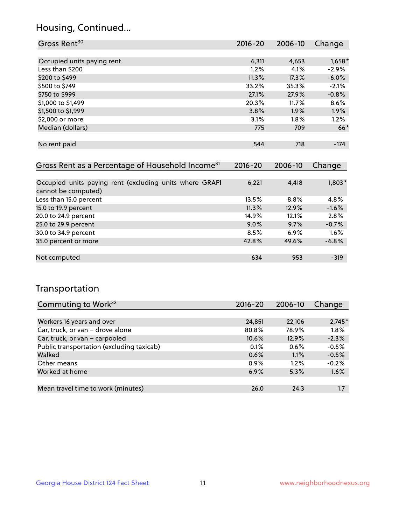## Housing, Continued...

| Gross Rent <sup>30</sup>   | 2016-20 | 2006-10 | Change   |
|----------------------------|---------|---------|----------|
|                            |         |         |          |
| Occupied units paying rent | 6,311   | 4,653   | $1,658*$ |
| Less than \$200            | 1.2%    | 4.1%    | $-2.9%$  |
| \$200 to \$499             | 11.3%   | 17.3%   | $-6.0%$  |
| \$500 to \$749             | 33.2%   | 35.3%   | $-2.1%$  |
| \$750 to \$999             | 27.1%   | 27.9%   | $-0.8%$  |
| \$1,000 to \$1,499         | 20.3%   | 11.7%   | 8.6%     |
| \$1,500 to \$1,999         | 3.8%    | 1.9%    | 1.9%     |
| \$2,000 or more            | 3.1%    | $1.8\%$ | 1.2%     |
| Median (dollars)           | 775     | 709     | $66*$    |
|                            |         |         |          |
| No rent paid               | 544     | 718     | $-174$   |
|                            |         |         |          |

| Gross Rent as a Percentage of Household Income <sup>31</sup>                   | $2016 - 20$ | 2006-10 | Change  |
|--------------------------------------------------------------------------------|-------------|---------|---------|
|                                                                                |             |         |         |
| Occupied units paying rent (excluding units where GRAPI<br>cannot be computed) | 6,221       | 4,418   | 1,803*  |
| Less than 15.0 percent                                                         | 13.5%       | 8.8%    | 4.8%    |
| 15.0 to 19.9 percent                                                           | 11.3%       | 12.9%   | $-1.6%$ |
| 20.0 to 24.9 percent                                                           | 14.9%       | 12.1%   | 2.8%    |
| 25.0 to 29.9 percent                                                           | 9.0%        | 9.7%    | $-0.7%$ |
| 30.0 to 34.9 percent                                                           | 8.5%        | 6.9%    | 1.6%    |
| 35.0 percent or more                                                           | 42.8%       | 49.6%   | $-6.8%$ |
|                                                                                |             |         |         |
| Not computed                                                                   | 634         | 953     | $-319$  |

## Transportation

| Commuting to Work <sup>32</sup>           | 2016-20 | 2006-10 | Change   |
|-------------------------------------------|---------|---------|----------|
|                                           |         |         |          |
| Workers 16 years and over                 | 24,851  | 22,106  | $2,745*$ |
| Car, truck, or van - drove alone          | 80.8%   | 78.9%   | 1.8%     |
| Car, truck, or van - carpooled            | 10.6%   | 12.9%   | $-2.3%$  |
| Public transportation (excluding taxicab) | $0.1\%$ | 0.6%    | $-0.5%$  |
| Walked                                    | 0.6%    | 1.1%    | $-0.5%$  |
| Other means                               | $0.9\%$ | $1.2\%$ | $-0.2%$  |
| Worked at home                            | 6.9%    | 5.3%    | 1.6%     |
|                                           |         |         |          |
| Mean travel time to work (minutes)        | 26.0    | 24.3    | 1.7      |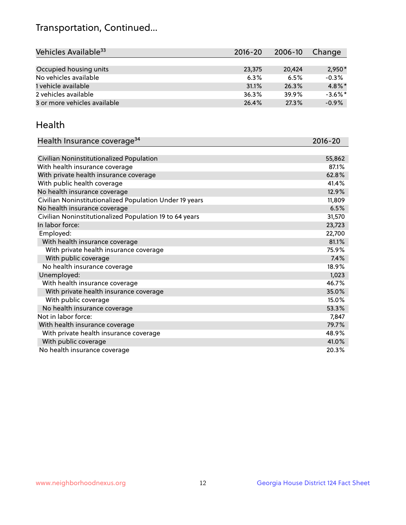## Transportation, Continued...

| Vehicles Available <sup>33</sup> | $2016 - 20$ | 2006-10 | Change     |
|----------------------------------|-------------|---------|------------|
|                                  |             |         |            |
| Occupied housing units           | 23,375      | 20.424  | $2,950*$   |
| No vehicles available            | 6.3%        | 6.5%    | $-0.3%$    |
| 1 vehicle available              | 31.1%       | 26.3%   | $4.8\%$ *  |
| 2 vehicles available             | 36.3%       | 39.9%   | $-3.6\%$ * |
| 3 or more vehicles available     | 26.4%       | 27.3%   | $-0.9%$    |

#### Health

| Health Insurance coverage <sup>34</sup>                 | 2016-20 |
|---------------------------------------------------------|---------|
|                                                         |         |
| Civilian Noninstitutionalized Population                | 55,862  |
| With health insurance coverage                          | 87.1%   |
| With private health insurance coverage                  | 62.8%   |
| With public health coverage                             | 41.4%   |
| No health insurance coverage                            | 12.9%   |
| Civilian Noninstitutionalized Population Under 19 years | 11,809  |
| No health insurance coverage                            | 6.5%    |
| Civilian Noninstitutionalized Population 19 to 64 years | 31,570  |
| In labor force:                                         | 23,723  |
| Employed:                                               | 22,700  |
| With health insurance coverage                          | 81.1%   |
| With private health insurance coverage                  | 75.9%   |
| With public coverage                                    | 7.4%    |
| No health insurance coverage                            | 18.9%   |
| Unemployed:                                             | 1,023   |
| With health insurance coverage                          | 46.7%   |
| With private health insurance coverage                  | 35.0%   |
| With public coverage                                    | 15.0%   |
| No health insurance coverage                            | 53.3%   |
| Not in labor force:                                     | 7,847   |
| With health insurance coverage                          | 79.7%   |
| With private health insurance coverage                  | 48.9%   |
| With public coverage                                    | 41.0%   |
| No health insurance coverage                            | 20.3%   |